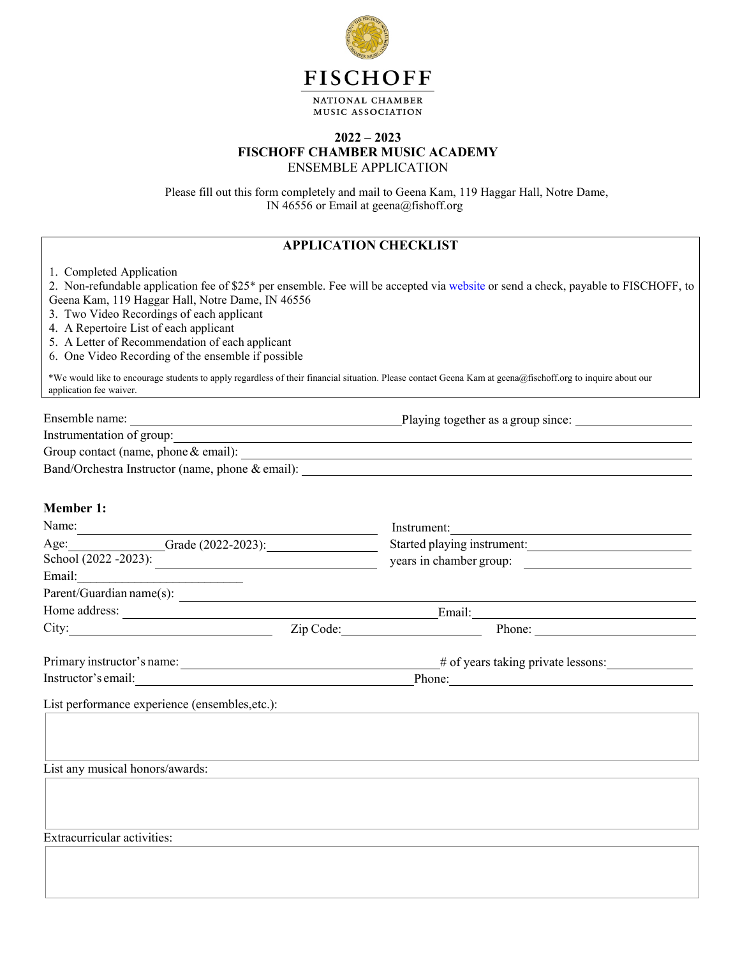

NATIONAL CHAMBER MUSIC ASSOCIATION

### **2022 – 2023 FISCHOFF CHAMBER MUSIC ACADEMY**  ENSEMBLE APPLICATION

Please fill out this form completely and mail to Geena Kam, 119 Haggar Hall, Notre Dame, IN 46556 or Email at geena@fishoff.org

|                                                                                                                                                                                                                                                                              | <b>APPLICATION CHECKLIST</b> |                                                                                                                                                            |
|------------------------------------------------------------------------------------------------------------------------------------------------------------------------------------------------------------------------------------------------------------------------------|------------------------------|------------------------------------------------------------------------------------------------------------------------------------------------------------|
| 1. Completed Application<br>Geena Kam, 119 Haggar Hall, Notre Dame, IN 46556<br>3. Two Video Recordings of each applicant<br>4. A Repertoire List of each applicant<br>5. A Letter of Recommendation of each applicant<br>6. One Video Recording of the ensemble if possible |                              | 2. Non-refundable application fee of \$25* per ensemble. Fee will be accepted via website or send a check, payable to FISCHOFF, to                         |
| application fee waiver.                                                                                                                                                                                                                                                      |                              | *We would like to encourage students to apply regardless of their financial situation. Please contact Geena Kam at geena@fischoff.org to inquire about our |
|                                                                                                                                                                                                                                                                              |                              | Group contact (name, phone $\&$ email):                                                                                                                    |
|                                                                                                                                                                                                                                                                              |                              |                                                                                                                                                            |
| <b>Member 1:</b>                                                                                                                                                                                                                                                             |                              |                                                                                                                                                            |
| Name: Name and the second contract of the second contract of the second contract of the second contract of the second contract of the second contract of the second contract of the second contract of the second contract of                                                |                              | Instrument:                                                                                                                                                |
| Age: Grade (2022-2023):                                                                                                                                                                                                                                                      |                              | Started playing instrument:                                                                                                                                |
| $\frac{\text{School}(2022 - 2023)}{\text{School}(2022 - 2023)}$                                                                                                                                                                                                              |                              | years in chamber group:                                                                                                                                    |
| Email: <u>______________________</u>                                                                                                                                                                                                                                         |                              |                                                                                                                                                            |
|                                                                                                                                                                                                                                                                              |                              | $\text{Parent/Guardian name}(s):$                                                                                                                          |
|                                                                                                                                                                                                                                                                              |                              |                                                                                                                                                            |
|                                                                                                                                                                                                                                                                              |                              | City: <u>City:</u> Zip Code: 2.1 Phone: Phone:                                                                                                             |
|                                                                                                                                                                                                                                                                              |                              |                                                                                                                                                            |
|                                                                                                                                                                                                                                                                              |                              | Phone:                                                                                                                                                     |
| List performance experience (ensembles, etc.):                                                                                                                                                                                                                               |                              |                                                                                                                                                            |
|                                                                                                                                                                                                                                                                              |                              |                                                                                                                                                            |
| List any musical honors/awards:                                                                                                                                                                                                                                              |                              |                                                                                                                                                            |
|                                                                                                                                                                                                                                                                              |                              |                                                                                                                                                            |
| <b>Extracurricular activities:</b>                                                                                                                                                                                                                                           |                              |                                                                                                                                                            |
|                                                                                                                                                                                                                                                                              |                              |                                                                                                                                                            |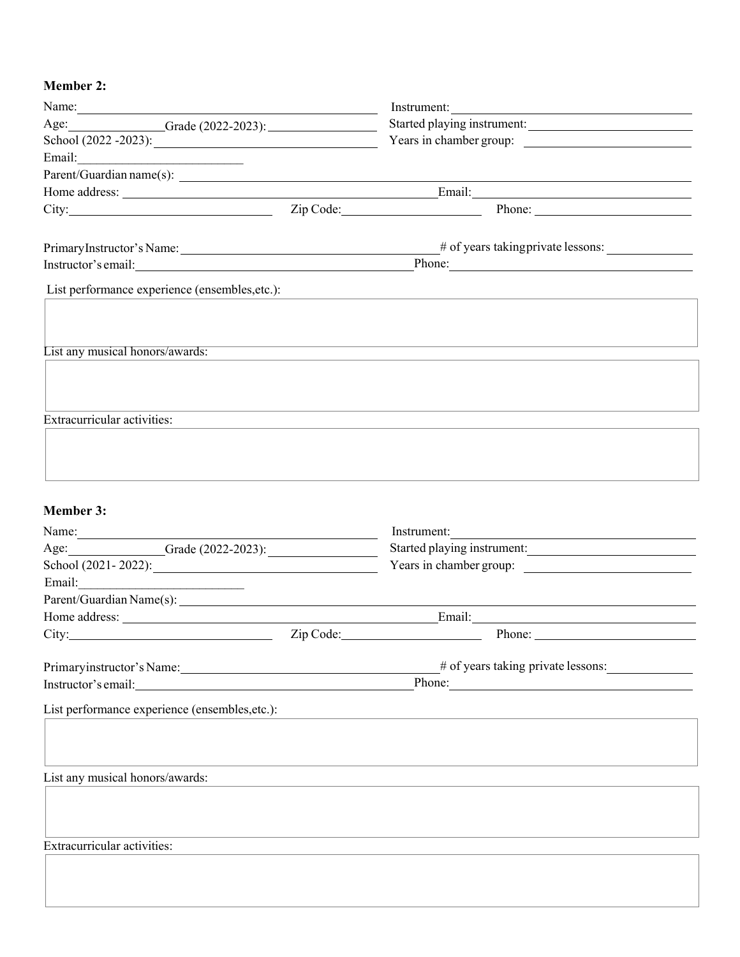# **Member 2:**

| Name:                                                                                                                                                                                                                          |                             | Instrument:                                                                                                                                                                                                                                                                                                                                       |
|--------------------------------------------------------------------------------------------------------------------------------------------------------------------------------------------------------------------------------|-----------------------------|---------------------------------------------------------------------------------------------------------------------------------------------------------------------------------------------------------------------------------------------------------------------------------------------------------------------------------------------------|
| Age: Grade (2022-2023):                                                                                                                                                                                                        | Started playing instrument: |                                                                                                                                                                                                                                                                                                                                                   |
| School $(2022 - 2023)$ :                                                                                                                                                                                                       |                             | Years in chamber group:                                                                                                                                                                                                                                                                                                                           |
|                                                                                                                                                                                                                                |                             |                                                                                                                                                                                                                                                                                                                                                   |
|                                                                                                                                                                                                                                |                             |                                                                                                                                                                                                                                                                                                                                                   |
|                                                                                                                                                                                                                                |                             |                                                                                                                                                                                                                                                                                                                                                   |
|                                                                                                                                                                                                                                |                             | City: $\frac{1}{\sum_{i=1}^{n} \sum_{j=1}^{n} \sum_{j=1}^{n} (1 - j)}$ $\sum_{i=1}^{n} \sum_{j=1}^{n} \sum_{j=1}^{n} (1 - j) \sum_{j=1}^{n} (1 - j) \sum_{j=1}^{n} (1 - j) \sum_{j=1}^{n} (1 - j) \sum_{j=1}^{n} (1 - j) \sum_{j=1}^{n} (1 - j) \sum_{j=1}^{n} (1 - j) \sum_{j=1}^{n} (1 - j) \sum_{j=1}^{n} (1 - j) \sum_{j=1}^{n} (1 - j) \sum$ |
|                                                                                                                                                                                                                                |                             |                                                                                                                                                                                                                                                                                                                                                   |
|                                                                                                                                                                                                                                |                             |                                                                                                                                                                                                                                                                                                                                                   |
|                                                                                                                                                                                                                                |                             |                                                                                                                                                                                                                                                                                                                                                   |
|                                                                                                                                                                                                                                |                             |                                                                                                                                                                                                                                                                                                                                                   |
| List performance experience (ensembles, etc.):                                                                                                                                                                                 |                             |                                                                                                                                                                                                                                                                                                                                                   |
|                                                                                                                                                                                                                                |                             |                                                                                                                                                                                                                                                                                                                                                   |
|                                                                                                                                                                                                                                |                             |                                                                                                                                                                                                                                                                                                                                                   |
| List any musical honors/awards:                                                                                                                                                                                                |                             |                                                                                                                                                                                                                                                                                                                                                   |
|                                                                                                                                                                                                                                |                             |                                                                                                                                                                                                                                                                                                                                                   |
|                                                                                                                                                                                                                                |                             |                                                                                                                                                                                                                                                                                                                                                   |
|                                                                                                                                                                                                                                |                             |                                                                                                                                                                                                                                                                                                                                                   |
| <b>Extracurricular activities:</b>                                                                                                                                                                                             |                             |                                                                                                                                                                                                                                                                                                                                                   |
|                                                                                                                                                                                                                                |                             |                                                                                                                                                                                                                                                                                                                                                   |
|                                                                                                                                                                                                                                |                             |                                                                                                                                                                                                                                                                                                                                                   |
|                                                                                                                                                                                                                                |                             |                                                                                                                                                                                                                                                                                                                                                   |
|                                                                                                                                                                                                                                |                             |                                                                                                                                                                                                                                                                                                                                                   |
|                                                                                                                                                                                                                                |                             |                                                                                                                                                                                                                                                                                                                                                   |
| <b>Member 3:</b>                                                                                                                                                                                                               |                             |                                                                                                                                                                                                                                                                                                                                                   |
| Name: $\frac{1}{2}$                                                                                                                                                                                                            |                             | Instrument:                                                                                                                                                                                                                                                                                                                                       |
| Age: Grade (2022-2023):                                                                                                                                                                                                        |                             | Started playing instrument:                                                                                                                                                                                                                                                                                                                       |
| School (2021-2022): $\qquad \qquad$                                                                                                                                                                                            |                             | Years in chamber group:                                                                                                                                                                                                                                                                                                                           |
| Email: 2008. [2010] [2010] [2010] [2010] [2010] [2010] [2010] [2010] [2010] [2010] [2010] [2010] [2010] [2010] [2010] [2010] [2010] [2010] [2010] [2010] [2010] [2010] [2010] [2010] [2010] [2010] [2010] [2010] [2010] [2010] |                             |                                                                                                                                                                                                                                                                                                                                                   |
|                                                                                                                                                                                                                                |                             |                                                                                                                                                                                                                                                                                                                                                   |
|                                                                                                                                                                                                                                |                             | Home address: <u>example and a series of the series of the series of the series of the series of the series of the series of the series of the series of the series of the series of the series of the series of the series of t</u>                                                                                                              |
|                                                                                                                                                                                                                                |                             | City: <u>City:</u> Zip Code: <u>City:</u> Phone: <b>City:</b> Phone: 2014                                                                                                                                                                                                                                                                         |
|                                                                                                                                                                                                                                |                             |                                                                                                                                                                                                                                                                                                                                                   |
| Primaryinstructor's Name: 1997                                                                                                                                                                                                 |                             | # of years taking private lessons:                                                                                                                                                                                                                                                                                                                |
| Instructor's email: <u>contained</u>                                                                                                                                                                                           |                             | Phone:                                                                                                                                                                                                                                                                                                                                            |
| List performance experience (ensembles, etc.):                                                                                                                                                                                 |                             |                                                                                                                                                                                                                                                                                                                                                   |
|                                                                                                                                                                                                                                |                             |                                                                                                                                                                                                                                                                                                                                                   |
|                                                                                                                                                                                                                                |                             |                                                                                                                                                                                                                                                                                                                                                   |
|                                                                                                                                                                                                                                |                             |                                                                                                                                                                                                                                                                                                                                                   |
| List any musical honors/awards:                                                                                                                                                                                                |                             |                                                                                                                                                                                                                                                                                                                                                   |
|                                                                                                                                                                                                                                |                             |                                                                                                                                                                                                                                                                                                                                                   |
|                                                                                                                                                                                                                                |                             |                                                                                                                                                                                                                                                                                                                                                   |
|                                                                                                                                                                                                                                |                             |                                                                                                                                                                                                                                                                                                                                                   |
| <b>Extracurricular activities:</b>                                                                                                                                                                                             |                             |                                                                                                                                                                                                                                                                                                                                                   |
|                                                                                                                                                                                                                                |                             |                                                                                                                                                                                                                                                                                                                                                   |
|                                                                                                                                                                                                                                |                             |                                                                                                                                                                                                                                                                                                                                                   |
|                                                                                                                                                                                                                                |                             |                                                                                                                                                                                                                                                                                                                                                   |
|                                                                                                                                                                                                                                |                             |                                                                                                                                                                                                                                                                                                                                                   |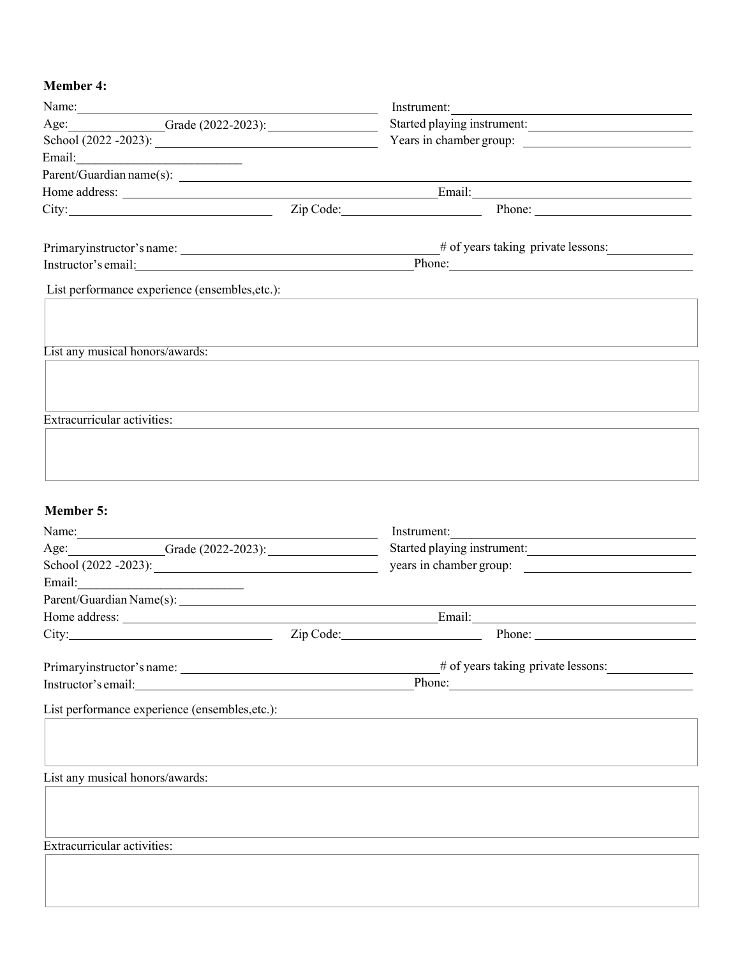# **Member :**

| Name:                                                                                                                                                                                                                         |                                       | Instrument:                                    |  |
|-------------------------------------------------------------------------------------------------------------------------------------------------------------------------------------------------------------------------------|---------------------------------------|------------------------------------------------|--|
| Age: Grade (2022-2023):                                                                                                                                                                                                       | Started playing instrument:           |                                                |  |
|                                                                                                                                                                                                                               |                                       |                                                |  |
| Email: <u>Alexander Communication</u>                                                                                                                                                                                         |                                       |                                                |  |
|                                                                                                                                                                                                                               |                                       |                                                |  |
|                                                                                                                                                                                                                               |                                       |                                                |  |
|                                                                                                                                                                                                                               |                                       | City: <u>City:</u> Zip Code: 2.1 Phone: Phone: |  |
|                                                                                                                                                                                                                               |                                       |                                                |  |
|                                                                                                                                                                                                                               |                                       | # of years taking private lessons:             |  |
|                                                                                                                                                                                                                               |                                       |                                                |  |
|                                                                                                                                                                                                                               |                                       |                                                |  |
| List performance experience (ensembles, etc.):                                                                                                                                                                                |                                       |                                                |  |
|                                                                                                                                                                                                                               |                                       |                                                |  |
|                                                                                                                                                                                                                               |                                       |                                                |  |
| List any musical honors/awards:                                                                                                                                                                                               |                                       |                                                |  |
|                                                                                                                                                                                                                               |                                       |                                                |  |
|                                                                                                                                                                                                                               |                                       |                                                |  |
|                                                                                                                                                                                                                               |                                       |                                                |  |
| Extracurricular activities:                                                                                                                                                                                                   |                                       |                                                |  |
|                                                                                                                                                                                                                               |                                       |                                                |  |
|                                                                                                                                                                                                                               |                                       |                                                |  |
|                                                                                                                                                                                                                               |                                       |                                                |  |
|                                                                                                                                                                                                                               |                                       |                                                |  |
|                                                                                                                                                                                                                               |                                       |                                                |  |
| <b>Member 5:</b>                                                                                                                                                                                                              |                                       |                                                |  |
| Name: Name and the second contract of the second contract of the second contract of the second contract of the second contract of the second contract of the second contract of the second contract of the second contract of |                                       | Instrument:                                    |  |
| Age: Grade (2022-2023):                                                                                                                                                                                                       |                                       | Started playing instrument:                    |  |
|                                                                                                                                                                                                                               |                                       | years in chamber group:                        |  |
| Email:                                                                                                                                                                                                                        |                                       |                                                |  |
|                                                                                                                                                                                                                               |                                       |                                                |  |
|                                                                                                                                                                                                                               |                                       |                                                |  |
| City:                                                                                                                                                                                                                         | Zip Code:<br><b>Contract Contract</b> | Phone:                                         |  |
|                                                                                                                                                                                                                               |                                       |                                                |  |
|                                                                                                                                                                                                                               |                                       | # of years taking private lessons:             |  |
| Instructor's email:                                                                                                                                                                                                           |                                       |                                                |  |
| List performance experience (ensembles, etc.):                                                                                                                                                                                |                                       |                                                |  |
|                                                                                                                                                                                                                               |                                       |                                                |  |
|                                                                                                                                                                                                                               |                                       |                                                |  |
|                                                                                                                                                                                                                               |                                       |                                                |  |
| List any musical honors/awards:                                                                                                                                                                                               |                                       |                                                |  |
|                                                                                                                                                                                                                               |                                       |                                                |  |
|                                                                                                                                                                                                                               |                                       |                                                |  |
|                                                                                                                                                                                                                               |                                       |                                                |  |
|                                                                                                                                                                                                                               |                                       |                                                |  |
| Extracurricular activities:                                                                                                                                                                                                   |                                       |                                                |  |
|                                                                                                                                                                                                                               |                                       |                                                |  |
|                                                                                                                                                                                                                               |                                       |                                                |  |
|                                                                                                                                                                                                                               |                                       |                                                |  |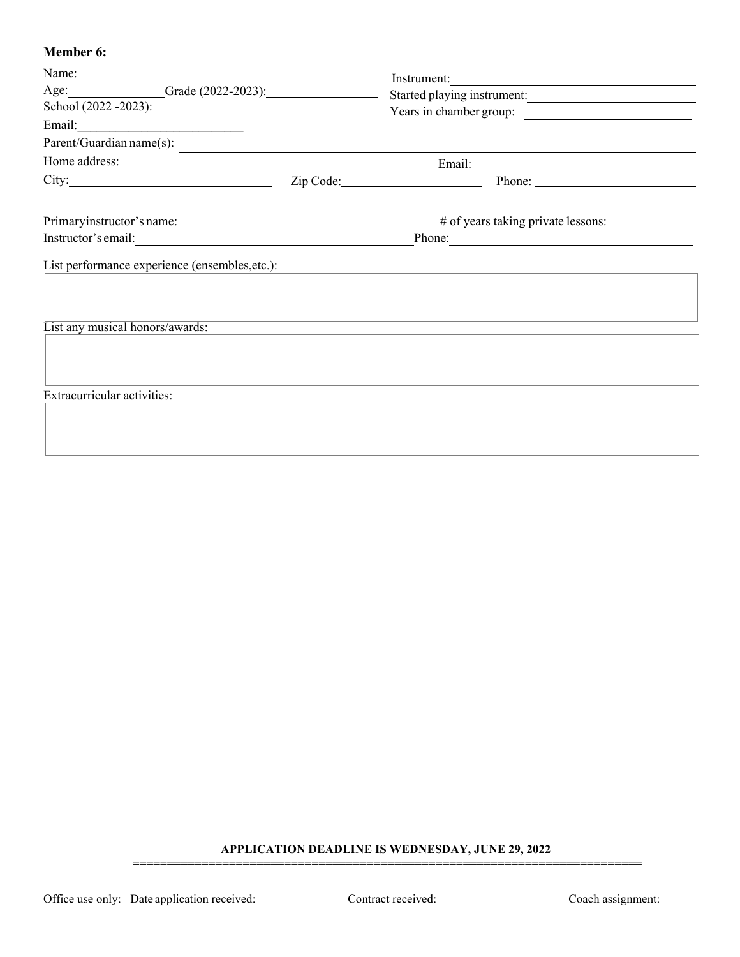#### **Member 6:**

| Name:                                                                             |  | Instrument:                                      |  |  |
|-----------------------------------------------------------------------------------|--|--------------------------------------------------|--|--|
| Age: Grade (2022-2023): Started playing instrument:                               |  |                                                  |  |  |
|                                                                                   |  | School $(2022 - 2023)$ : Years in chamber group: |  |  |
|                                                                                   |  |                                                  |  |  |
| Parent/Guardian name(s):                                                          |  |                                                  |  |  |
| Home address:                                                                     |  |                                                  |  |  |
|                                                                                   |  | City: <u>City:</u> Zip Code: 2.1 Phone: Phone:   |  |  |
|                                                                                   |  | # of years taking private lessons:               |  |  |
|                                                                                   |  | Instructor's email: Phone: Phone: Phone:         |  |  |
| List performance experience (ensembles, etc.):<br>List any musical honors/awards: |  |                                                  |  |  |
| Extracurricular activities:                                                       |  |                                                  |  |  |

#### **APPLICATION DEADLINE IS WEDNESDAY, JUNE 29, 2022**